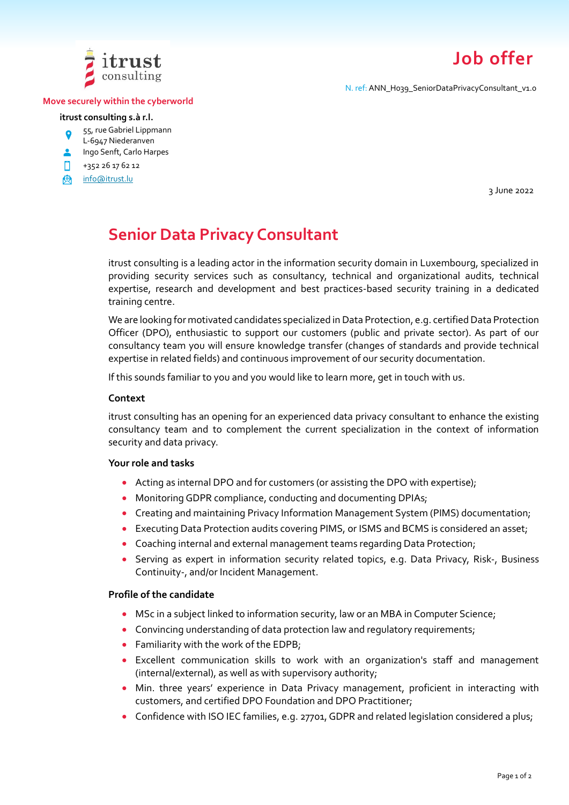

# **Job offer**

N. ref: ANN\_H039\_SeniorDataPrivacyConsultant\_v1.0

#### **Move securely within the cyberworld**

#### **itrust consulting s.à r.l.**

- 55, rue Gabriel Lippmann
- L-6947 Niederanven
- **Ingo Senft, Carlo Harpes**
- П. +352 26 17 62 12
- **A** [info@itrust.lu](mailto:info@itrust.lu)

3 June 2022

# **Senior Data Privacy Consultant**

itrust consulting is a leading actor in the information security domain in Luxembourg, specialized in providing security services such as consultancy, technical and organizational audits, technical expertise, research and development and best practices-based security training in a dedicated training centre.

We are looking for motivated candidates specialized in Data Protection, e.g. certified Data Protection Officer (DPO), enthusiastic to support our customers (public and private sector). As part of our consultancy team you will ensure knowledge transfer (changes of standards and provide technical expertise in related fields) and continuous improvement of our security documentation.

If this sounds familiar to you and you would like to learn more, get in touch with us.

#### **Context**

itrust consulting has an opening for an experienced data privacy consultant to enhance the existing consultancy team and to complement the current specialization in the context of information security and data privacy.

### **Your role and tasks**

- Acting as internal DPO and for customers (or assisting the DPO with expertise);
- Monitoring GDPR compliance, conducting and documenting DPIAs;
- Creating and maintaining Privacy Information Management System (PIMS) documentation;
- Executing Data Protection audits covering PIMS, or ISMS and BCMS is considered an asset;
- Coaching internal and external management teams regarding Data Protection;
- Serving as expert in information security related topics, e.g. Data Privacy, Risk-, Business Continuity-, and/or Incident Management.

### **Profile of the candidate**

- MSc in a subject linked to information security, law or an MBA in Computer Science;
- Convincing understanding of data protection law and regulatory requirements;
- Familiarity with the work of the EDPB;
- Excellent communication skills to work with an organization's staff and management (internal/external), as well as with supervisory authority;
- Min. three years' experience in Data Privacy management, proficient in interacting with customers, and certified DPO Foundation and DPO Practitioner;
- Confidence with ISO IEC families, e.g. 27701, GDPR and related legislation considered a plus;